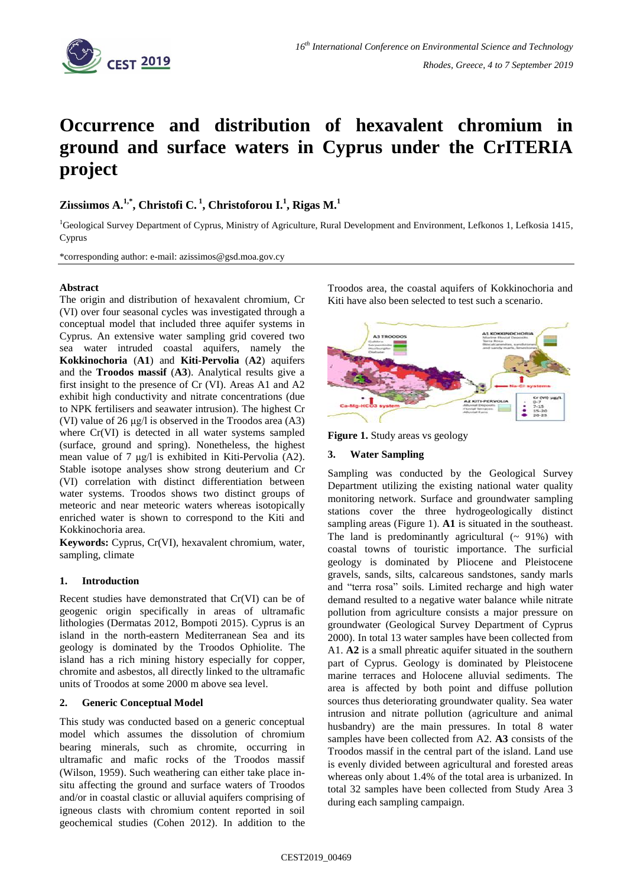

# **Occurrence and distribution of hexavalent chromium in ground and surface waters in Cyprus under the CrITERIA project**

# $\mathbf{Z}$ iıssiımos A.<sup>1,\*</sup>, Christofi C.<sup>1</sup>, Christoforou I.<sup>1</sup>, Rigas M.<sup>1</sup>

<sup>1</sup>Geological Survey Department of Cyprus, Ministry of Agriculture, Rural Development and Environment, Lefkonos 1, Lefkosia 1415, Cyprus

\*corresponding author: e-mail: azissimos@gsd.moa.gov.cy

# **Abstract**

The origin and distribution of hexavalent chromium, Cr (VI) over four seasonal cycles was investigated through a conceptual model that included three aquifer systems in Cyprus. An extensive water sampling grid covered two sea water intruded coastal aquifers, namely the **Kokkinochoria** (**A1**) and **Kiti-Pervolia** (**A2**) aquifers and the **Troodos massif** (**A3**). Analytical results give a first insight to the presence of Cr (VI). Areas A1 and A2 exhibit high conductivity and nitrate concentrations (due to NPK fertilisers and seawater intrusion). The highest Cr (VI) value of 26 μg/l is observed in the Troodos area (A3) where Cr(VI) is detected in all water systems sampled (surface, ground and spring). Nonetheless, the highest mean value of 7 μg/l is exhibited in Kiti-Pervolia (A2). Stable isotope analyses show strong deuterium and Cr (VI) correlation with distinct differentiation between water systems. Troodos shows two distinct groups of meteoric and near meteoric waters whereas isotopically enriched water is shown to correspond to the Kiti and Kokkinochoria area.

**Keywords:** Cyprus, Cr(VI), hexavalent chromium, water, sampling, climate

# **1. Introduction**

Recent studies have demonstrated that Cr(VI) can be of geogenic origin specifically in areas of ultramafic lithologies (Dermatas 2012, Bompoti 2015). Cyprus is an island in the north-eastern Mediterranean Sea and its geology is dominated by the Troodos Ophiolite. The island has a rich mining history especially for copper, chromite and asbestos, all directly linked to the ultramafic units of Troodos at some 2000 m above sea level.

# **2. Generic Conceptual Model**

This study was conducted based on a generic conceptual model which assumes the dissolution of chromium bearing minerals, such as chromite, occurring in ultramafic and mafic rocks of the Troodos massif (Wilson, 1959). Such weathering can either take place insitu affecting the ground and surface waters of Troodos and/or in coastal clastic or alluvial aquifers comprising of igneous clasts with chromium content reported in soil geochemical studies (Cohen 2012). In addition to the Troodos area, the coastal aquifers of Kokkinochoria and Kiti have also been selected to test such a scenario.



**Figure 1.** Study areas vs geology

### **3. Water Sampling**

Sampling was conducted by the Geological Survey Department utilizing the existing national water quality monitoring network. Surface and groundwater sampling stations cover the three hydrogeologically distinct sampling areas (Figure 1). **A1** is situated in the southeast. The land is predominantly agricultural  $($   $\sim$  91%) with coastal towns of touristic importance. The surficial geology is dominated by Pliocene and Pleistocene gravels, sands, silts, calcareous sandstones, sandy marls and "terra rosa" soils. Limited recharge and high water demand resulted to a negative water balance while nitrate pollution from agriculture consists a major pressure on groundwater (Geological Survey Department of Cyprus 2000). In total 13 water samples have been collected from A1. **A2** is a small phreatic aquifer situated in the southern part of Cyprus. Geology is dominated by Pleistocene marine terraces and Holocene alluvial sediments. The area is affected by both point and diffuse pollution sources thus deteriorating groundwater quality. Sea water intrusion and nitrate pollution (agriculture and animal husbandry) are the main pressures. In total 8 water samples have been collected from A2. **A3** consists of the Troodos massif in the central part of the island. Land use is evenly divided between agricultural and forested areas whereas only about 1.4% of the total area is urbanized. In total 32 samples have been collected from Study Area 3 during each sampling campaign.